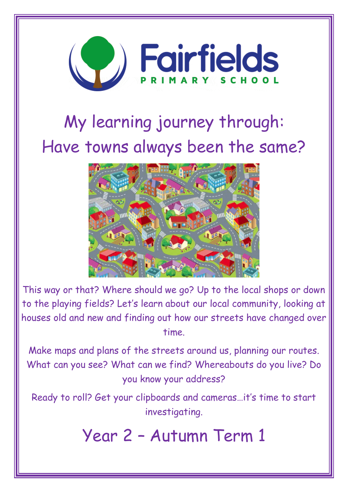

# My learning journey through: Have towns always been the same?



This way or that? Where should we go? Up to the local shops or down to the playing fields? Let's learn about our local community, looking at houses old and new and finding out how our streets have changed over time.

Make maps and plans of the streets around us, planning our routes. What can you see? What can we find? Whereabouts do you live? Do you know your address?

Ready to roll? Get your clipboards and cameras…it's time to start investigating.

Year 2 – Autumn Term 1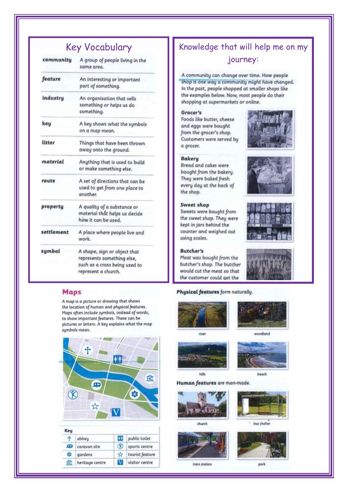# **Key Vocabulary**

| community  | A group of people living in the<br>same area.                                                                      |
|------------|--------------------------------------------------------------------------------------------------------------------|
| feature    | An interesting or important<br>part of something.                                                                  |
| industry   | An organisation that sells<br>something or helps us do<br>something.                                               |
| key        | A key shows what the symbols<br>on a map mean.                                                                     |
| litter     | Things that have been thrown<br>away onto the ground.                                                              |
| material   | Anything that is used to build<br>or make something else.                                                          |
| route      | A set of directions that can be<br>used to get from one place to<br>another.                                       |
| property   | A quality of a substance or<br>material that helps us decide<br>how it can be used.                                |
| settlement | A place where people live and<br>work.                                                                             |
| symbol     | A shape, sign or object that<br>represents something else,<br>such as a cross being used to<br>represent a church. |

## **Maps**

A map is a picture or drawing that shows the location of human and physical features. Maps often include symbols, instead of words, to show important features. These can be pictures or letters. A key explains what the map symbols mean.



| ÷  | abbey           | ĐĐ        | public toilet   |
|----|-----------------|-----------|-----------------|
|    | caravan site    | GO.       | sports centre   |
| BВ | gardens         | <b>YA</b> | tourist feature |
| HC | heritage centre | V         | visitor centre  |

# Knowledge that will help me on my journey:

A community can change over time. How people shop is one way a community might have changed. In the past, people shopped at smaller shops like the examples below. Now, most people do their shopping at supermarkets or online.

### Grocer's

Foods like butter, cheese and eggs were bought from the grocer's shop. Customers were served by a grocer.

#### **Bakery**

Bread and cakes were bought from the bakery. They were baked fresh every day at the back of the shop.

#### Sweet shop

Sweets were bought from the sweet shop. They were kept in jars behind the counter and weighed out using scales.

#### **Butcher's**

Meat was bought from the butcher's shop. The butcher would cut the meat so that the customer could get the

#### Physical features form naturally.





woodland



beach

Human features are man-made.





bus shelter



train station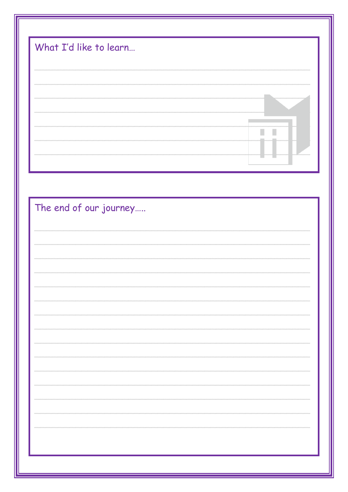| What I'd like to learn |  |  |   |  |
|------------------------|--|--|---|--|
|                        |  |  |   |  |
|                        |  |  | П |  |
|                        |  |  |   |  |
| The end of our journey |  |  |   |  |
|                        |  |  |   |  |
|                        |  |  |   |  |
|                        |  |  |   |  |
|                        |  |  |   |  |
|                        |  |  |   |  |
|                        |  |  |   |  |
|                        |  |  |   |  |
|                        |  |  |   |  |
|                        |  |  |   |  |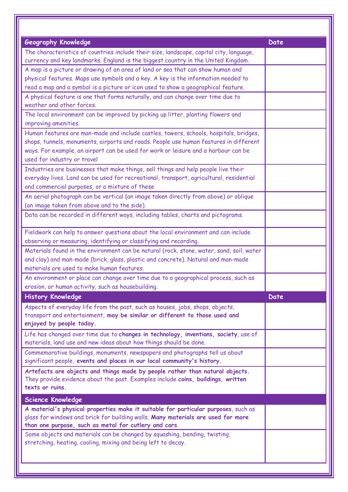| <b>Geography Knowledge</b>                                                                                                                                 | Date |
|------------------------------------------------------------------------------------------------------------------------------------------------------------|------|
| The characteristics of countries include their size, landscape, capital city, language,                                                                    |      |
| currency and key landmarks. England is the biggest country in the United Kingdom.                                                                          |      |
| A map is a picture or drawing of an area of land or sea that can show human and                                                                            |      |
| physical features. Maps use symbols and a key. A key is the information needed to                                                                          |      |
| read a map and a symbol is a picture or icon used to show a geographical feature.                                                                          |      |
| A physical feature is one that forms naturally, and can change over time due to<br>weather and other forces.                                               |      |
| The local environment can be improved by picking up litter, planting flowers and                                                                           |      |
| improving amenities.                                                                                                                                       |      |
| Human features are man-made and include castles, towers, schools, hospitals, bridges,                                                                      |      |
| shops, tunnels, monuments, airports and roads. People use human features in different                                                                      |      |
| ways. For example, an airport can be used for work or leisure and a harbour can be                                                                         |      |
| used for industry or travel                                                                                                                                |      |
| Industries are businesses that make things, sell things and help people live their                                                                         |      |
| everyday lives. Land can be used for recreational, transport, agricultural, residential                                                                    |      |
| and commercial purposes, or a mixture of these                                                                                                             |      |
| An aerial photograph can be vertical (an image taken directly from above) or oblique                                                                       |      |
| (an image taken from above and to the side).                                                                                                               |      |
| Data can be recorded in different ways, including tables, charts and pictograms.                                                                           |      |
| Fieldwork can help to answer questions about the local environment and can include                                                                         |      |
| observing or measuring, identifying or classifying and recording.                                                                                          |      |
| Materials found in the environment can be natural (rock, stone, water, sand, soil, water                                                                   |      |
| and clay) and man-made (brick, glass, plastic and concrete). Natural and man-made                                                                          |      |
| materials are used to make human features.                                                                                                                 |      |
| An environment or place can change over time due to a geographical process, such as                                                                        |      |
| erosion, or human activity, such as housebuilding.                                                                                                         |      |
| <b>History Knowledge</b>                                                                                                                                   | Date |
| Aspects of everyday life from the past, such as houses, jobs, shops, objects,                                                                              |      |
| transport and entertainment, may be similar or different to those used and                                                                                 |      |
| enjoyed by people today.                                                                                                                                   |      |
| Life has changed over time due to changes in technology, inventions, society, use of<br>materials, land use and new ideas about how things should be done. |      |
| Commemorative buildings, monuments, newspapers and photographs tell us about                                                                               |      |
| significant people, events and places in our local community's history.                                                                                    |      |
| Artefacts are objects and things made by people rather than natural objects.                                                                               |      |
| They provide evidence about the past. Examples include coins, buildings, written                                                                           |      |
| texts or ruins.                                                                                                                                            |      |
| Science Knowledge                                                                                                                                          |      |
| A material's physical properties make it suitable for particular purposes, such as                                                                         |      |
| glass for windows and brick for building walls. Many materials are used for more                                                                           |      |
| than one purpose, such as metal for cutlery and cars.                                                                                                      |      |
| Some objects and materials can be changed by squashing, bending, twisting,                                                                                 |      |
| stretching, heating, cooling, mixing and being left to decay.                                                                                              |      |
|                                                                                                                                                            |      |
|                                                                                                                                                            |      |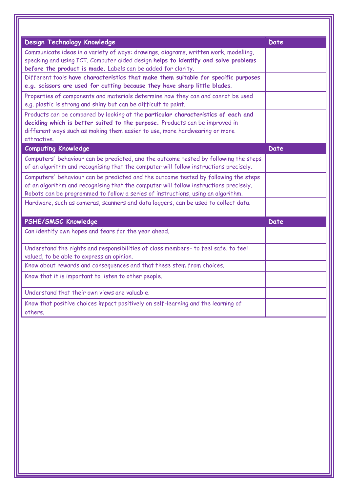| Design Technology Knowledge                                                                                                                                                                                                                                      | Date |
|------------------------------------------------------------------------------------------------------------------------------------------------------------------------------------------------------------------------------------------------------------------|------|
| Communicate ideas in a variety of ways: drawings, diagrams, written work, modelling,<br>speaking and using ICT. Computer aided design helps to identify and solve problems<br>before the product is made. Labels can be added for clarity.                       |      |
| Different tools have characteristics that make them suitable for specific purposes<br>e.g. scissors are used for cutting because they have sharp little blades.                                                                                                  |      |
| Properties of components and materials determine how they can and cannot be used<br>e.g. plastic is strong and shiny but can be difficult to paint.                                                                                                              |      |
| Products can be compared by looking at the particular characteristics of each and<br>deciding which is better suited to the purpose. Products can be improved in<br>different ways such as making them easier to use, more hardwearing or more<br>attractive.    |      |
| <b>Computing Knowledge</b>                                                                                                                                                                                                                                       | Date |
| Computers' behaviour can be predicted, and the outcome tested by following the steps<br>of an algorithm and recognising that the computer will follow instructions precisely.                                                                                    |      |
| Computers' behaviour can be predicted and the outcome tested by following the steps<br>of an algorithm and recognising that the computer will follow instructions precisely.<br>Robots can be programmed to follow a series of instructions, using an algorithm. |      |
| Hardware, such as cameras, scanners and data loggers, can be used to collect data.                                                                                                                                                                               |      |
| <b>PSHE/SMSC Knowledge</b>                                                                                                                                                                                                                                       | Date |
| Can identify own hopes and fears for the year ahead.                                                                                                                                                                                                             |      |
| Understand the rights and responsibilities of class members- to feel safe, to feel<br>valued, to be able to express an opinion.                                                                                                                                  |      |
| Know about rewards and consequences and that these stem from choices.                                                                                                                                                                                            |      |
| Know that it is important to listen to other people.                                                                                                                                                                                                             |      |
| Understand that their own views are valuable.                                                                                                                                                                                                                    |      |
| Know that positive choices impact positively on self-learning and the learning of<br>others.                                                                                                                                                                     |      |